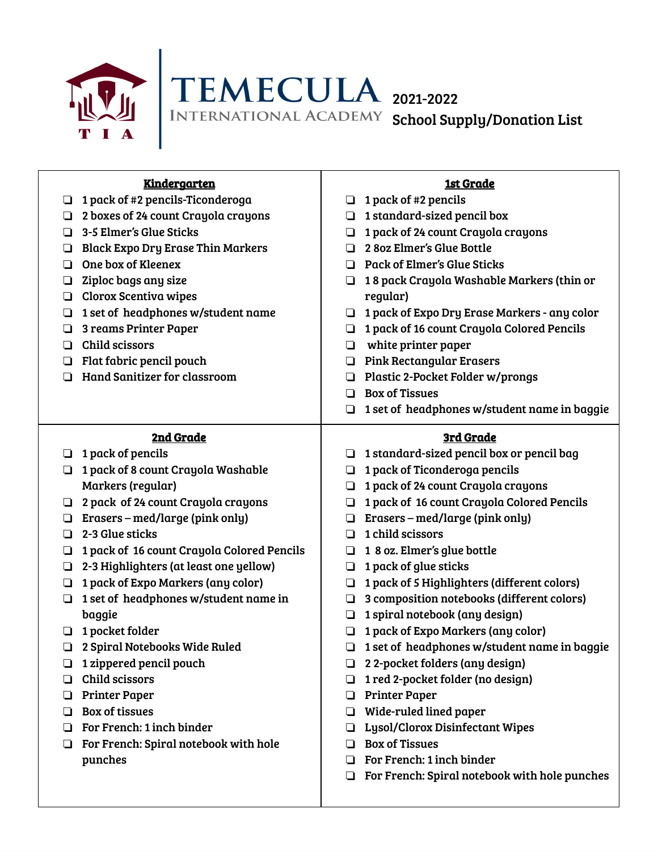



| <b>Kindergarten</b>                        | <b>1st Grade</b>                                                                |
|--------------------------------------------|---------------------------------------------------------------------------------|
| 1 pack of #2 pencils-Ticonderoga           | 1 pack of #2 pencils                                                            |
| ⊔                                          | $\Box$                                                                          |
| 2 boxes of 24 count Crayola crayons        | 1 standard-sized pencil box                                                     |
| ⊔                                          | □                                                                               |
| 3-5 Elmer's Glue Sticks                    | 1 pack of 24 count Crayola crayons                                              |
| □                                          | ❏                                                                               |
| <b>Black Expo Dry Erase Thin Markers</b>   | 2 80z Elmer's Glue Bottle                                                       |
| ❏                                          | П                                                                               |
| One box of Kleenex                         | <b>Pack of Elmer's Glue Sticks</b>                                              |
| □                                          | □.                                                                              |
| Ziploc bags any size                       | 18 pack Crayola Washable Markers (thin or                                       |
| ◘                                          | ❏                                                                               |
| Clorox Scentiva wipes<br>❏                 | regular)                                                                        |
| 1 set of headphones w/student name         | 1 pack of Expo Dry Erase Markers - any color                                    |
| ⊔                                          | □                                                                               |
| 3 reams Printer Paper                      | 1 pack of 16 count Crayola Colored Pencils                                      |
| ◘                                          | ❏                                                                               |
| Child scissors                             | white printer paper                                                             |
| □                                          | ❏                                                                               |
| Flat fabric pencil pouch                   | <b>Pink Rectangular Erasers</b>                                                 |
| ◘                                          |                                                                                 |
| <b>Hand Sanitizer for classroom</b>        | Plastic 2-Pocket Folder w/prongs                                                |
| □                                          | o.                                                                              |
|                                            | <b>Box of Tissues</b><br>n                                                      |
|                                            | 1 set of headphones w/student name in baggie<br>❏                               |
| 2nd Grade                                  | 3rd Grade                                                                       |
| 1 pack of pencils                          | 1 standard-sized pencil box or pencil bag                                       |
| ⊔                                          | ❏                                                                               |
| 1 pack of 8 count Crayola Washable         | 1 pack of Ticonderoga pencils                                                   |
| ❏                                          | $\Box$                                                                          |
| Markers (regular)                          | 1 pack of 24 count Crayola crayons<br>❏                                         |
| 2 pack of 24 count Crayola crayons         | 1 pack of 16 count Crayola Colored Pencils                                      |
| ❏                                          | $\Box$                                                                          |
| Erasers – med/large (pink only)<br>❏       | Erasers – med/large (pink only)                                                 |
| 2-3 Glue sticks                            | 1 child scissors                                                                |
| □                                          | ◻                                                                               |
| 1 pack of 16 count Crayola Colored Pencils | 1 8 oz. Elmer's glue bottle                                                     |
| ❏                                          | ❏                                                                               |
| 2-3 Highlighters (at least one yellow)     | 1 pack of glue sticks                                                           |
| ❏                                          | $\Box$                                                                          |
| 1 pack of Expo Markers (any color)         | 1 pack of 5 Highlighters (different colors)                                     |
| ❏                                          | ❏                                                                               |
| 1 set of headphones w/student name in      | 3 composition notebooks (different colors)                                      |
| ❏                                          | ❏                                                                               |
| baggie                                     | 1 spiral notebook (any design)<br>❏                                             |
| 1 pocket folder                            | 1 pack of Expo Markers (any color)                                              |
| ◘                                          | ❏                                                                               |
| 2 Spiral Notebooks Wide Ruled              | 1 set of headphones w/student name in baggie                                    |
| ❏                                          | ◻                                                                               |
| 1 zippered pencil pouch                    | 2 2-pocket folders (any design)<br>O.                                           |
| Child scissors                             | 1 red 2-pocket folder (no design)                                               |
| <b>Printer Paper</b>                       | <b>Printer Paper</b>                                                            |
| ⊔                                          | □                                                                               |
| <b>Box of tissues</b>                      | Wide-ruled lined paper                                                          |
| □                                          | □                                                                               |
| For French: 1 inch binder                  | Lysol/Clorox Disinfectant Wipes                                                 |
| ப                                          | ப                                                                               |
|                                            |                                                                                 |
| For French: Spiral notebook with hole<br>⊔ | <b>Box of Tissues</b>                                                           |
| punches                                    | For French: 1 inch binder<br>ப<br>For French: Spiral notebook with hole punches |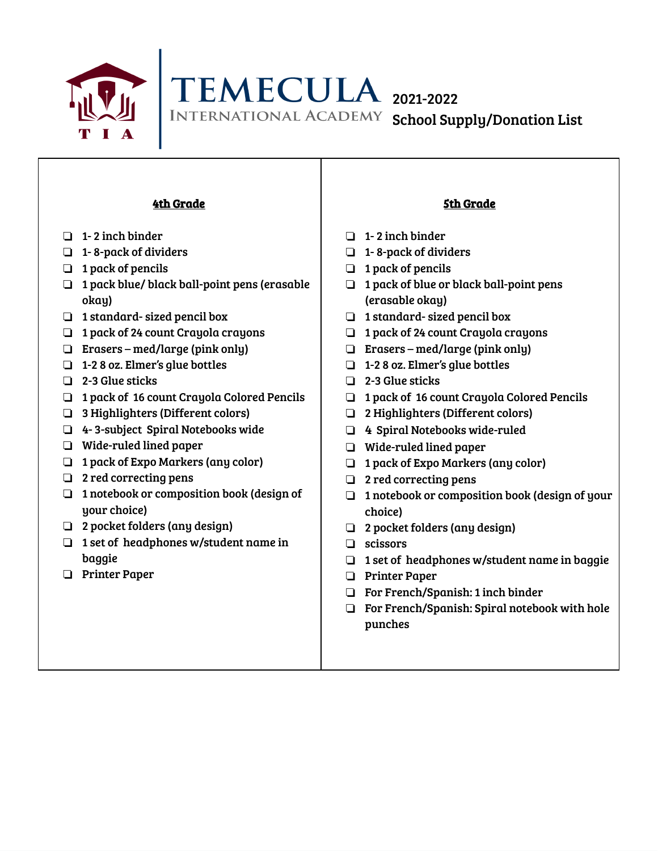

TEMECULA 2021-2022 INTERNATIONAL ACADEMY School Supply/Donation List

## 4th Grade

- ❏ 1- 2 inch binder
- ❏ 1- 8-pack of dividers
- ❏ 1 pack of pencils
- ❏ 1 pack blue/ black ball-point pens (erasable okay)
- ❏ 1 standard- sized pencil box
- ❏ 1 pack of 24 count Crayola crayons
- ❏ Erasers med/large (pink only)
- ❏ 1-2 8 oz. Elmer's glue bottles
- ❏ 2-3 Glue sticks
- ❏ 1 pack of 16 count Crayola Colored Pencils
- ❏ 3 Highlighters (Different colors)
- ❏ 4- 3-subject Spiral Notebooks wide
- ❏ Wide-ruled lined paper
- ❏ 1 pack of Expo Markers (any color)
- ❏ 2 red correcting pens
- ❏ 1 notebook or composition book (design of your choice)
- ❏ 2 pocket folders (any design)
- ❏ 1 set of headphones w/student name in baggie
- ❏ Printer Paper

## 5th Grade

- ❏ 1- 2 inch binder
- ❏ 1- 8-pack of dividers
- ❏ 1 pack of pencils
- ❏ 1 pack of blue or black ball-point pens (erasable okay)
- ❏ 1 standard- sized pencil box
- ❏ 1 pack of 24 count Crayola crayons
- ❏ Erasers med/large (pink only)
- ❏ 1-2 8 oz. Elmer's glue bottles
- ❏ 2-3 Glue sticks
- ❏ 1 pack of 16 count Crayola Colored Pencils
- ❏ 2 Highlighters (Different colors)
- ❏ 4 Spiral Notebooks wide-ruled
- ❏ Wide-ruled lined paper
- ❏ 1 pack of Expo Markers (any color)
- ❏ 2 red correcting pens
- ❏ 1 notebook or composition book (design of your choice)
- ❏ 2 pocket folders (any design)
- ❏ scissors
- ❏ 1 set of headphones w/student name in baggie
- ❏ Printer Paper
- ❏ For French/Spanish: 1 inch binder
- ❏ For French/Spanish: Spiral notebook with hole punches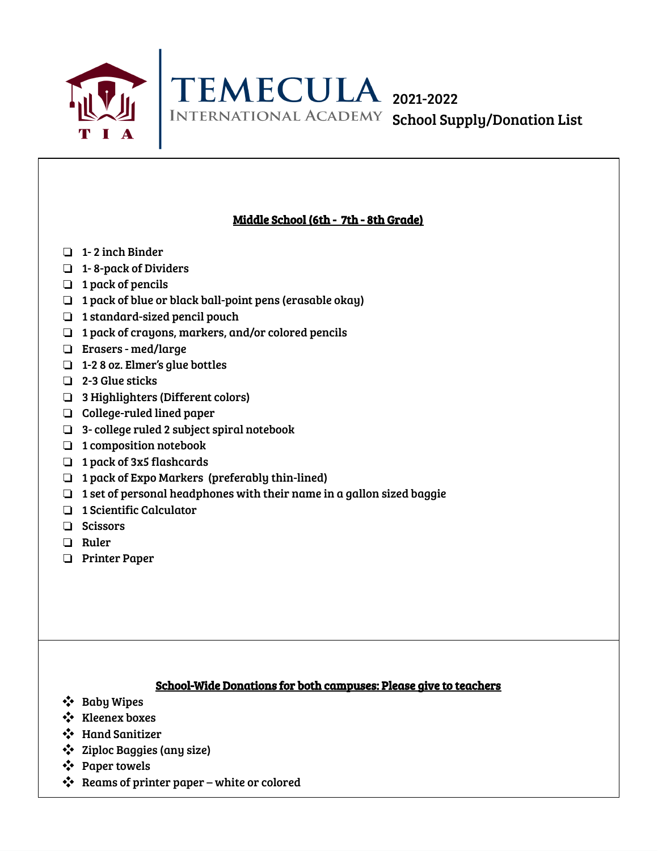



## Middle School (6th - 7th - 8th Grade)

- ❏ 1- 2 inch Binder
- ❏ 1- 8-pack of Dividers
- ❏ 1 pack of pencils
- ❏ 1 pack of blue or black ball-point pens (erasable okay)
- ❏ 1 standard-sized pencil pouch
- ❏ 1 pack of crayons, markers, and/or colored pencils
- ❏ Erasers med/large
- ❏ 1-2 8 oz. Elmer's glue bottles
- ❏ 2-3 Glue sticks
- ❏ 3 Highlighters (Different colors)
- ❏ College-ruled lined paper
- ❏ 3- college ruled 2 subject spiral notebook
- ❏ 1 composition notebook
- ❏ 1 pack of 3x5 flashcards
- ❏ 1 pack of Expo Markers (preferably thin-lined)
- ❏ 1 set of personal headphones with their name in a gallon sized baggie
- ❏ 1 Scientific Calculator
- ❏ Scissors
- ❏ Ruler
- ❏ Printer Paper

## School-Wide Donations for both campuses: Please give to teachers

- ❖ Baby Wipes
- ❖ Kleenex boxes
- ❖ Hand Sanitizer
- ❖ Ziploc Baggies (any size)
- ❖ Paper towels
- ❖ Reams of printer paper white or colored